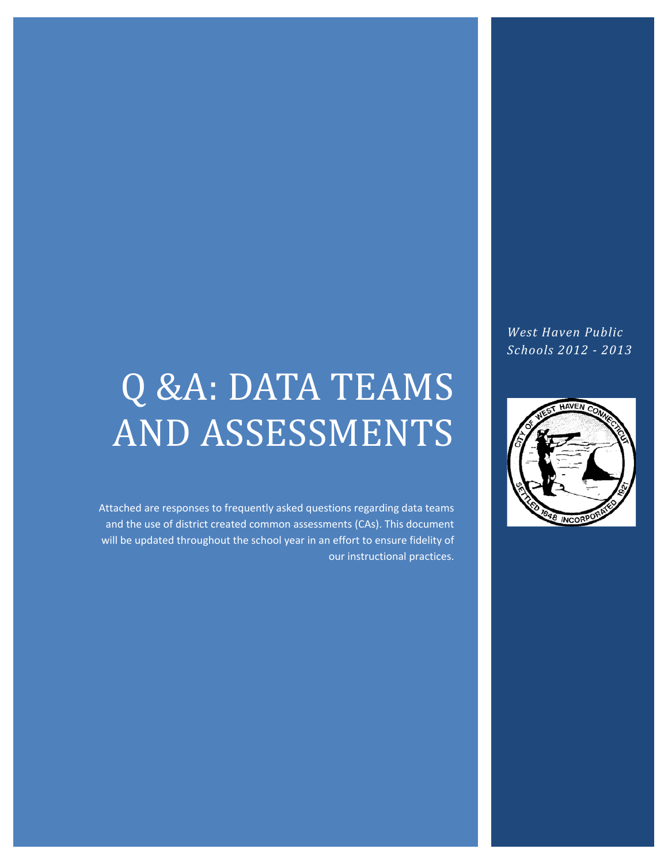# Q &A: DATA TEAMS AND ASSESSMENTS

Attached are responses to frequently asked questions regarding data teams and the use of district created common assessments (CAs). This document will be updated throughout the school year in an effort to ensure fidelity of our instructional practices.

*West Haven Public Schools 2012 - 2013*

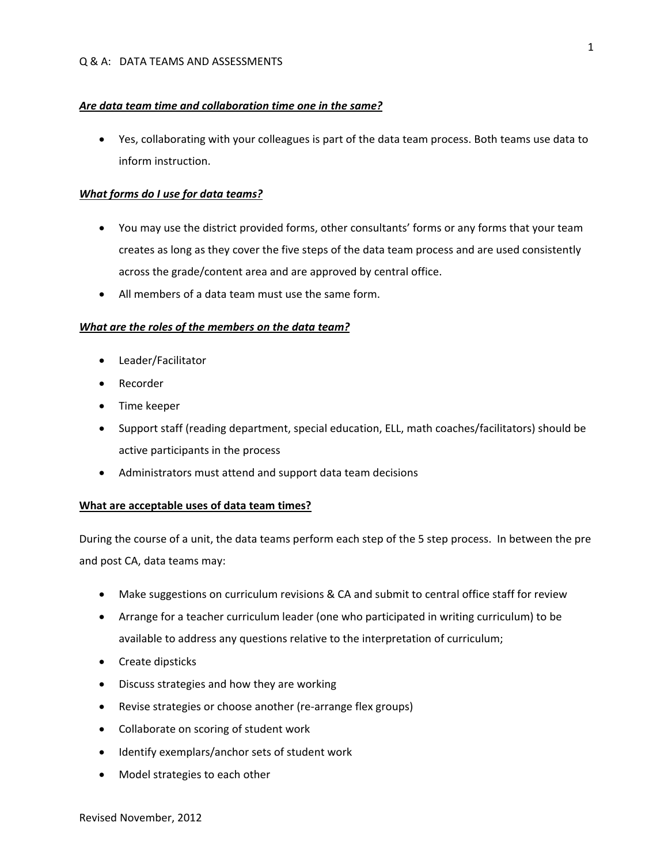#### *Are data team time and collaboration time one in the same?*

• Yes, collaborating with your colleagues is part of the data team process. Both teams use data to inform instruction.

#### *What forms do I use for data teams?*

- You may use the district provided forms, other consultants' forms or any forms that your team creates as long as they cover the five steps of the data team process and are used consistently across the grade/content area and are approved by central office.
- All members of a data team must use the same form.

#### *What are the roles of the members on the data team?*

- Leader/Facilitator
- Recorder
- Time keeper
- Support staff (reading department, special education, ELL, math coaches/facilitators) should be active participants in the process
- Administrators must attend and support data team decisions

# **What are acceptable uses of data team times?**

During the course of a unit, the data teams perform each step of the 5 step process. In between the pre and post CA, data teams may:

- Make suggestions on curriculum revisions & CA and submit to central office staff for review
- Arrange for a teacher curriculum leader (one who participated in writing curriculum) to be available to address any questions relative to the interpretation of curriculum;
- Create dipsticks
- Discuss strategies and how they are working
- Revise strategies or choose another (re-arrange flex groups)
- Collaborate on scoring of student work
- Identify exemplars/anchor sets of student work
- Model strategies to each other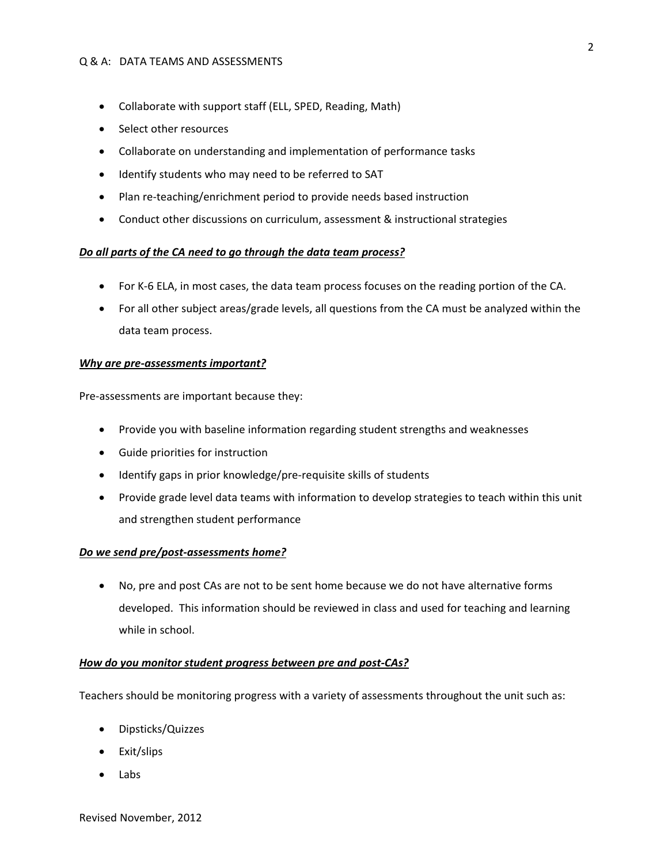#### Q & A: DATA TEAMS AND ASSESSMENTS

- Collaborate with support staff (ELL, SPED, Reading, Math)
- Select other resources
- Collaborate on understanding and implementation of performance tasks
- Identify students who may need to be referred to SAT
- Plan re-teaching/enrichment period to provide needs based instruction
- Conduct other discussions on curriculum, assessment & instructional strategies

# *Do all parts of the CA need to go through the data team process?*

- For K-6 ELA, in most cases, the data team process focuses on the reading portion of the CA.
- For all other subject areas/grade levels, all questions from the CA must be analyzed within the data team process.

# *Why are pre-assessments important?*

Pre-assessments are important because they:

- Provide you with baseline information regarding student strengths and weaknesses
- Guide priorities for instruction
- Identify gaps in prior knowledge/pre-requisite skills of students
- Provide grade level data teams with information to develop strategies to teach within this unit and strengthen student performance

# *Do we send pre/post-assessments home?*

• No, pre and post CAs are not to be sent home because we do not have alternative forms developed. This information should be reviewed in class and used for teaching and learning while in school.

#### *How do you monitor student progress between pre and post-CAs?*

Teachers should be monitoring progress with a variety of assessments throughout the unit such as:

- Dipsticks/Quizzes
- Exit/slips
- Labs

2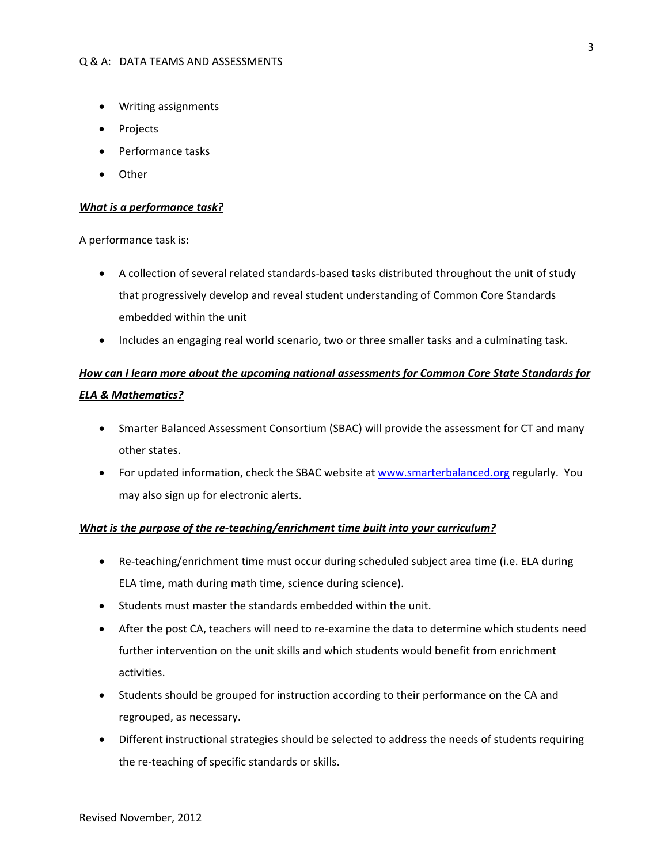- Writing assignments
- Projects
- Performance tasks
- Other

#### *What is a performance task?*

A performance task is:

- A collection of several related standards-based tasks distributed throughout the unit of study that progressively develop and reveal student understanding of Common Core Standards embedded within the unit
- Includes an engaging real world scenario, two or three smaller tasks and a culminating task.

# *How can I learn more about the upcoming national assessments for Common Core State Standards for ELA & Mathematics?*

- Smarter Balanced Assessment Consortium (SBAC) will provide the assessment for CT and many other states.
- For updated information, check the SBAC website a[t www.smarterbalanced.org](http://www.smarterbalanced.org/) regularly. You may also sign up for electronic alerts.

### *What is the purpose of the re-teaching/enrichment time built into your curriculum?*

- Re-teaching/enrichment time must occur during scheduled subject area time (i.e. ELA during ELA time, math during math time, science during science).
- Students must master the standards embedded within the unit.
- After the post CA, teachers will need to re-examine the data to determine which students need further intervention on the unit skills and which students would benefit from enrichment activities.
- Students should be grouped for instruction according to their performance on the CA and regrouped, as necessary.
- Different instructional strategies should be selected to address the needs of students requiring the re-teaching of specific standards or skills.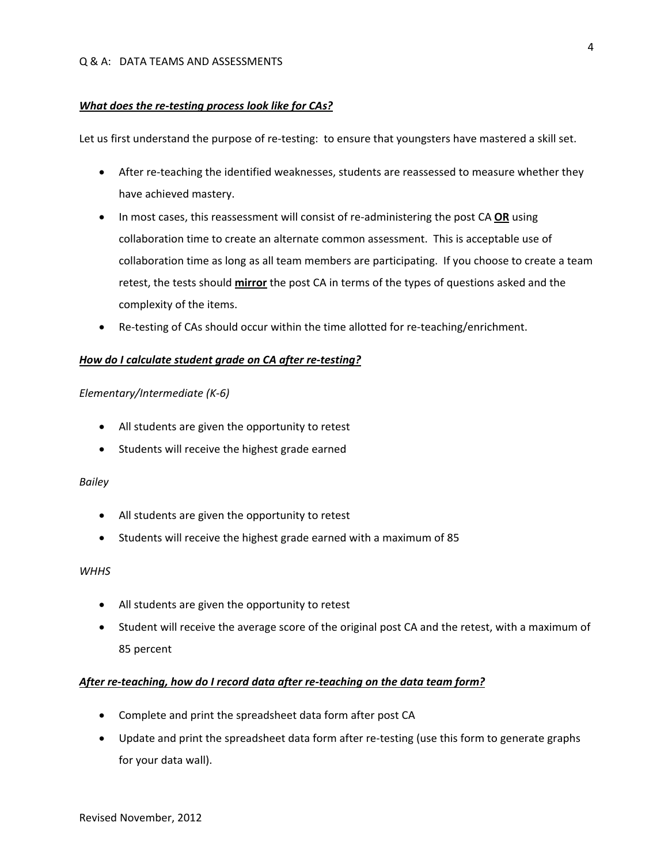#### *What does the re-testing process look like for CAs?*

Let us first understand the purpose of re-testing: to ensure that youngsters have mastered a skill set.

- After re-teaching the identified weaknesses, students are reassessed to measure whether they have achieved mastery.
- In most cases, this reassessment will consist of re-administering the post CA **OR** using collaboration time to create an alternate common assessment. This is acceptable use of collaboration time as long as all team members are participating. If you choose to create a team retest, the tests should **mirror** the post CA in terms of the types of questions asked and the complexity of the items.
- Re-testing of CAs should occur within the time allotted for re-teaching/enrichment.

# *How do I calculate student grade on CA after re-testing?*

#### *Elementary/Intermediate (K-6)*

- All students are given the opportunity to retest
- Students will receive the highest grade earned

#### *Bailey*

- All students are given the opportunity to retest
- Students will receive the highest grade earned with a maximum of 85

# *WHHS*

- All students are given the opportunity to retest
- Student will receive the average score of the original post CA and the retest, with a maximum of 85 percent

# *After re-teaching, how do I record data after re-teaching on the data team form?*

- Complete and print the spreadsheet data form after post CA
- Update and print the spreadsheet data form after re-testing (use this form to generate graphs for your data wall).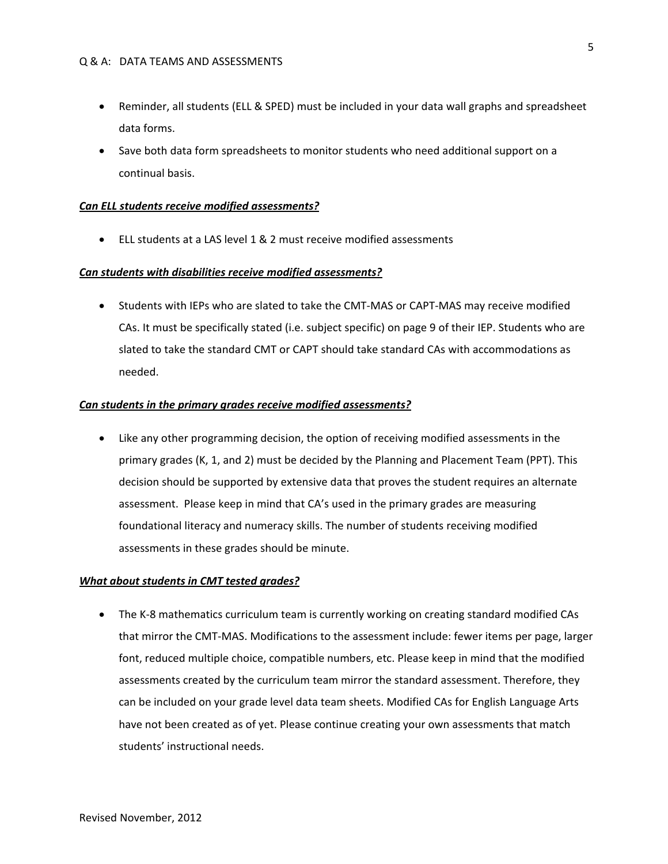- Reminder, all students (ELL & SPED) must be included in your data wall graphs and spreadsheet data forms.
- Save both data form spreadsheets to monitor students who need additional support on a continual basis.

#### *Can ELL students receive modified assessments?*

• ELL students at a LAS level 1 & 2 must receive modified assessments

#### *Can students with disabilities receive modified assessments?*

• Students with IEPs who are slated to take the CMT-MAS or CAPT-MAS may receive modified CAs. It must be specifically stated (i.e. subject specific) on page 9 of their IEP. Students who are slated to take the standard CMT or CAPT should take standard CAs with accommodations as needed.

#### *Can students in the primary grades receive modified assessments?*

• Like any other programming decision, the option of receiving modified assessments in the primary grades (K, 1, and 2) must be decided by the Planning and Placement Team (PPT). This decision should be supported by extensive data that proves the student requires an alternate assessment. Please keep in mind that CA's used in the primary grades are measuring foundational literacy and numeracy skills. The number of students receiving modified assessments in these grades should be minute.

#### *What about students in CMT tested grades?*

• The K-8 mathematics curriculum team is currently working on creating standard modified CAs that mirror the CMT-MAS. Modifications to the assessment include: fewer items per page, larger font, reduced multiple choice, compatible numbers, etc. Please keep in mind that the modified assessments created by the curriculum team mirror the standard assessment. Therefore, they can be included on your grade level data team sheets. Modified CAs for English Language Arts have not been created as of yet. Please continue creating your own assessments that match students' instructional needs.